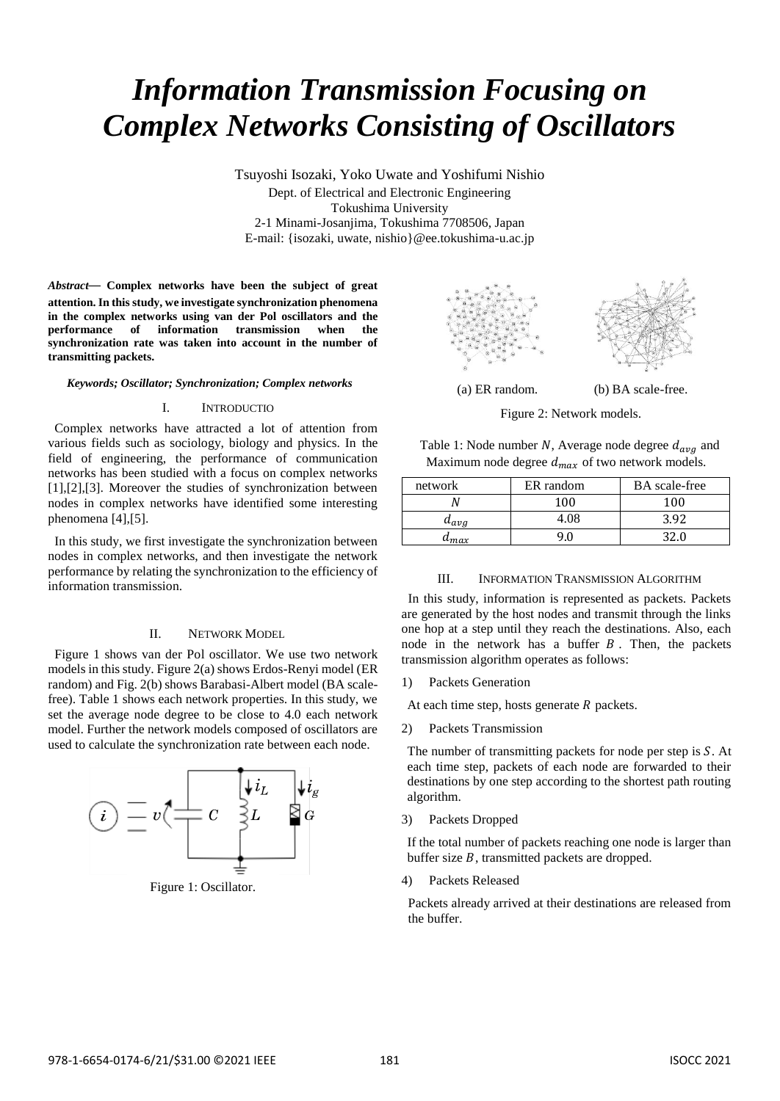# *Information Transmission Focusing on Complex Networks Consisting of Oscillators*

Tsuyoshi Isozaki, Yoko Uwate and Yoshifumi Nishio Dept. of Electrical and Electronic Engineering Tokushima University 2-1 Minami-Josanjima, Tokushima 7708506, Japan E-mail: {isozaki, uwate, nishio}@ee.tokushima-u.ac.jp

*Abstract*— **Complex networks have been the subject of great attention. In this study, we investigate synchronization phenomena in the complex networks using van der Pol oscillators and the performance of information transmission when the synchronization rate was taken into account in the number of transmitting packets.**

#### *Keywords; Oscillator; Synchronization; Complex networks*

## I. INTRODUCTIO

Complex networks have attracted a lot of attention from various fields such as sociology, biology and physics. In the field of engineering, the performance of communication networks has been studied with a focus on complex networks [1],[2],[3]. Moreover the studies of synchronization between nodes in complex networks have identified some interesting phenomena [4],[5].

In this study, we first investigate the synchronization between nodes in complex networks, and then investigate the network performance by relating the synchronization to the efficiency of information transmission.

### II. NETWORK MODEL

Figure 1 shows van der Pol oscillator. We use two network models in this study. Figure 2(a) shows Erdos-Renyi model (ER random) and Fig. 2(b) shows Barabasi-Albert model (BA scalefree). Table 1 shows each network properties. In this study, we set the average node degree to be close to 4.0 each network model. Further the network models composed of oscillators are used to calculate the synchronization rate between each node.



Figure 1: Oscillator.



(a) ER random. (b) BA scale-free.



Table 1: Node number N, Average node degree  $d_{avg}$  and Maximum node degree  $d_{max}$  of two network models.

| network   | ER random | <b>BA</b> scale-free |
|-----------|-----------|----------------------|
|           |           | 100                  |
| $a_{ave}$ | 1.08      | 3 QS                 |
|           |           |                      |

#### III. INFORMATION TRANSMISSION ALGORITHM

In this study, information is represented as packets. Packets are generated by the host nodes and transmit through the links one hop at a step until they reach the destinations. Also, each node in the network has a buffer  $B$ . Then, the packets transmission algorithm operates as follows:

1) Packets Generation

At each time step, hosts generate  $R$  packets.

2) Packets Transmission

The number of transmitting packets for node per step is  $S$ . At each time step, packets of each node are forwarded to their destinations by one step according to the shortest path routing algorithm.

3) Packets Dropped

If the total number of packets reaching one node is larger than buffer size  $B$ , transmitted packets are dropped.

4) Packets Released

Packets already arrived at their destinations are released from the buffer.